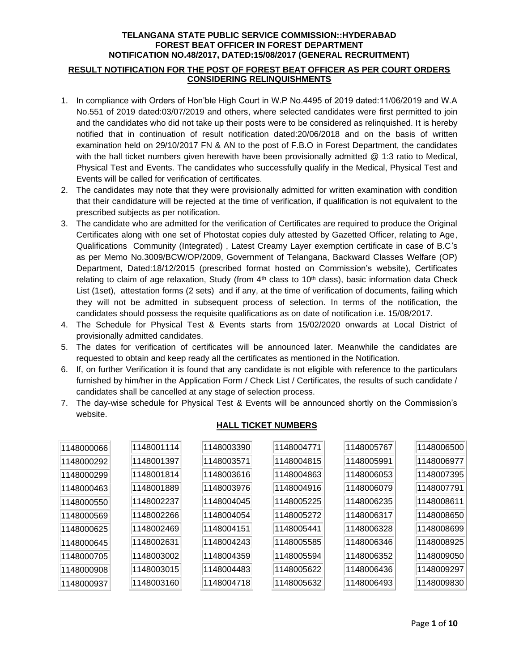#### **RESULT NOTIFICATION FOR THE POST OF FOREST BEAT OFFICER AS PER COURT ORDERS CONSIDERING RELINQUISHMENTS**

- 1. In compliance with Orders of Hon'ble High Court in W.P No.4495 of 2019 dated:11/06/2019 and W.A No.551 of 2019 dated:03/07/2019 and others, where selected candidates were first permitted to join and the candidates who did not take up their posts were to be considered as relinquished. It is hereby notified that in continuation of result notification dated:20/06/2018 and on the basis of written examination held on 29/10/2017 FN & AN to the post of F.B.O in Forest Department, the candidates with the hall ticket numbers given herewith have been provisionally admitted @ 1:3 ratio to Medical, Physical Test and Events. The candidates who successfully qualify in the Medical, Physical Test and Events will be called for verification of certificates.
- 2. The candidates may note that they were provisionally admitted for written examination with condition that their candidature will be rejected at the time of verification, if qualification is not equivalent to the prescribed subjects as per notification.
- 3. The candidate who are admitted for the verification of Certificates are required to produce the Original Certificates along with one set of Photostat copies duly attested by Gazetted Officer, relating to Age, Qualifications Community (Integrated) , Latest Creamy Layer exemption certificate in case of B.C's as per Memo No.3009/BCW/OP/2009, Government of Telangana, Backward Classes Welfare (OP) Department, Dated:18/12/2015 (prescribed format hosted on Commission's website), Certificates relating to claim of age relaxation, Study (from  $4<sup>th</sup>$  class to 10<sup>th</sup> class), basic information data Check List (1set), attestation forms (2 sets) and if any, at the time of verification of documents, failing which they will not be admitted in subsequent process of selection. In terms of the notification, the candidates should possess the requisite qualifications as on date of notification i.e. 15/08/2017.
- 4. The Schedule for Physical Test & Events starts from 15/02/2020 onwards at Local District of provisionally admitted candidates.
- 5. The dates for verification of certificates will be announced later. Meanwhile the candidates are requested to obtain and keep ready all the certificates as mentioned in the Notification.
- 6. If, on further Verification it is found that any candidate is not eligible with reference to the particulars furnished by him/her in the Application Form / Check List / Certificates, the results of such candidate / candidates shall be cancelled at any stage of selection process.
- 7. The day-wise schedule for Physical Test & Events will be announced shortly on the Commission's website.

| 1148000066 | 1148001114 | 1148003390 | 1148004771 | 1148005767 | 1148006500 |
|------------|------------|------------|------------|------------|------------|
| 1148000292 | 1148001397 | 1148003571 | 1148004815 | 1148005991 | 1148006977 |
| 1148000299 | 1148001814 | 1148003616 | 1148004863 | 1148006053 | 1148007395 |
| 1148000463 | 1148001889 | 1148003976 | 1148004916 | 1148006079 | 1148007791 |
| 1148000550 | 1148002237 | 1148004045 | 1148005225 | 1148006235 | 1148008611 |
| 1148000569 | 1148002266 | 1148004054 | 1148005272 | 1148006317 | 1148008650 |
| 1148000625 | 1148002469 | 1148004151 | 1148005441 | 1148006328 | 1148008699 |
| 1148000645 | 1148002631 | 1148004243 | 1148005585 | 1148006346 | 1148008925 |
| 1148000705 | 1148003002 | 1148004359 | 1148005594 | 1148006352 | 1148009050 |
| 1148000908 | 1148003015 | 1148004483 | 1148005622 | 1148006436 | 1148009297 |
| 1148000937 | 1148003160 | 1148004718 | 1148005632 | 1148006493 | 1148009830 |

### **HALL TICKET NUMBERS**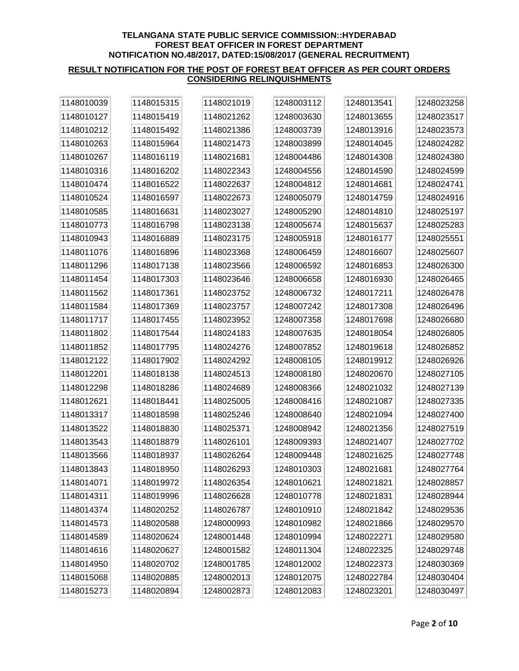| 1148010039 | 1148015315 | 1148021019 | 1248003112 | 1248013541 | 1248023258 |
|------------|------------|------------|------------|------------|------------|
| 1148010127 | 1148015419 | 1148021262 | 1248003630 | 1248013655 | 1248023517 |
| 1148010212 | 1148015492 | 1148021386 | 1248003739 | 1248013916 | 1248023573 |
| 1148010263 | 1148015964 | 1148021473 | 1248003899 | 1248014045 | 1248024282 |
| 1148010267 | 1148016119 | 1148021681 | 1248004486 | 1248014308 | 1248024380 |
| 1148010316 | 1148016202 | 1148022343 | 1248004556 | 1248014590 | 1248024599 |
| 1148010474 | 1148016522 | 1148022637 | 1248004812 | 1248014681 | 1248024741 |
| 1148010524 | 1148016597 | 1148022673 | 1248005079 | 1248014759 | 1248024916 |
| 1148010585 | 1148016631 | 1148023027 | 1248005290 | 1248014810 | 1248025197 |
| 1148010773 | 1148016798 | 1148023138 | 1248005674 | 1248015637 | 1248025283 |
| 1148010943 | 1148016889 | 1148023175 | 1248005918 | 1248016177 | 1248025551 |
| 1148011076 | 1148016896 | 1148023368 | 1248006459 | 1248016607 | 1248025607 |
| 1148011296 | 1148017138 | 1148023566 | 1248006592 | 1248016853 | 1248026300 |
| 1148011454 | 1148017303 | 1148023646 | 1248006658 | 1248016930 | 1248026465 |
| 1148011562 | 1148017361 | 1148023752 | 1248006732 | 1248017211 | 1248026478 |
| 1148011584 | 1148017369 | 1148023757 | 1248007242 | 1248017308 | 1248026496 |
| 1148011717 | 1148017455 | 1148023952 | 1248007358 | 1248017698 | 1248026680 |
| 1148011802 | 1148017544 | 1148024183 | 1248007635 | 1248018054 | 1248026805 |
| 1148011852 | 1148017795 | 1148024276 | 1248007852 | 1248019618 | 1248026852 |
| 1148012122 | 1148017902 | 1148024292 | 1248008105 | 1248019912 | 1248026926 |
| 1148012201 | 1148018138 | 1148024513 | 1248008180 | 1248020670 | 1248027105 |
| 1148012298 | 1148018286 | 1148024689 | 1248008366 | 1248021032 | 1248027139 |
| 1148012621 | 1148018441 | 1148025005 | 1248008416 | 1248021087 | 1248027335 |
| 1148013317 | 1148018598 | 1148025246 | 1248008640 | 1248021094 | 1248027400 |
| 1148013522 | 1148018830 | 1148025371 | 1248008942 | 1248021356 | 1248027519 |
| 1148013543 | 1148018879 | 1148026101 | 1248009393 | 1248021407 | 1248027702 |
| 1148013566 | 1148018937 | 1148026264 | 1248009448 | 1248021625 | 1248027748 |
| 1148013843 | 1148018950 | 1148026293 | 1248010303 | 1248021681 | 1248027764 |
| 1148014071 | 1148019972 | 1148026354 | 1248010621 | 1248021821 | 1248028857 |
| 1148014311 | 1148019996 | 1148026628 | 1248010778 | 1248021831 | 1248028944 |
| 1148014374 | 1148020252 | 1148026787 | 1248010910 | 1248021842 | 1248029536 |
| 1148014573 | 1148020588 | 1248000993 | 1248010982 | 1248021866 | 1248029570 |
| 1148014589 | 1148020624 | 1248001448 | 1248010994 | 1248022271 | 1248029580 |
| 1148014616 | 1148020627 | 1248001582 | 1248011304 | 1248022325 | 1248029748 |
| 1148014950 | 1148020702 | 1248001785 | 1248012002 | 1248022373 | 1248030369 |
| 1148015068 | 1148020885 | 1248002013 | 1248012075 | 1248022784 | 1248030404 |
| 1148015273 | 1148020894 | 1248002873 | 1248012083 | 1248023201 | 1248030497 |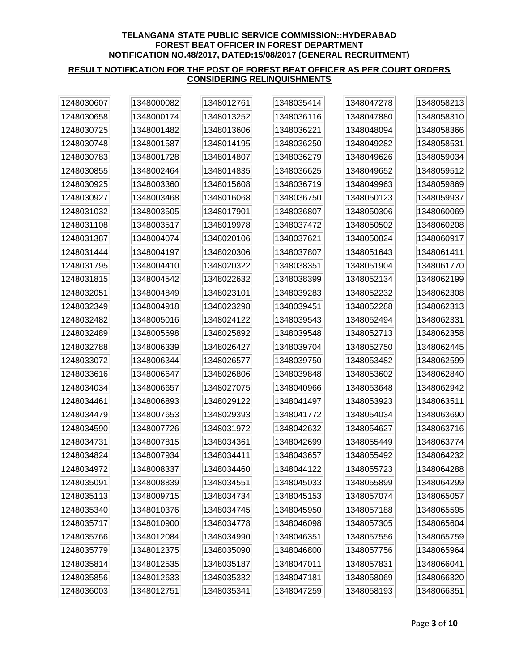| 1248030607 | 1348000082 | 1348012761 | 1348035414 | 1348047278 | 1348058213 |
|------------|------------|------------|------------|------------|------------|
| 1248030658 | 1348000174 | 1348013252 | 1348036116 | 1348047880 | 1348058310 |
| 1248030725 | 1348001482 | 1348013606 | 1348036221 | 1348048094 | 1348058366 |
| 1248030748 | 1348001587 | 1348014195 | 1348036250 | 1348049282 | 1348058531 |
| 1248030783 | 1348001728 | 1348014807 | 1348036279 | 1348049626 | 1348059034 |
| 1248030855 | 1348002464 | 1348014835 | 1348036625 | 1348049652 | 1348059512 |
| 1248030925 | 1348003360 | 1348015608 | 1348036719 | 1348049963 | 1348059869 |
| 1248030927 | 1348003468 | 1348016068 | 1348036750 | 1348050123 | 1348059937 |
| 1248031032 | 1348003505 | 1348017901 | 1348036807 | 1348050306 | 1348060069 |
| 1248031108 | 1348003517 | 1348019978 | 1348037472 | 1348050502 | 1348060208 |
| 1248031387 | 1348004074 | 1348020106 | 1348037621 | 1348050824 | 1348060917 |
| 1248031444 | 1348004197 | 1348020306 | 1348037807 | 1348051643 | 1348061411 |
| 1248031795 | 1348004410 | 1348020322 | 1348038351 | 1348051904 | 1348061770 |
| 1248031815 | 1348004542 | 1348022632 | 1348038399 | 1348052134 | 1348062199 |
| 1248032051 | 1348004849 | 1348023101 | 1348039283 | 1348052232 | 1348062308 |
| 1248032349 | 1348004918 | 1348023298 | 1348039451 | 1348052288 | 1348062313 |
| 1248032482 | 1348005016 | 1348024122 | 1348039543 | 1348052494 | 1348062331 |
| 1248032489 | 1348005698 | 1348025892 | 1348039548 | 1348052713 | 1348062358 |
| 1248032788 | 1348006339 | 1348026427 | 1348039704 | 1348052750 | 1348062445 |
| 1248033072 | 1348006344 | 1348026577 | 1348039750 | 1348053482 | 1348062599 |
| 1248033616 | 1348006647 | 1348026806 | 1348039848 | 1348053602 | 1348062840 |
| 1248034034 | 1348006657 | 1348027075 | 1348040966 | 1348053648 | 1348062942 |
| 1248034461 | 1348006893 | 1348029122 | 1348041497 | 1348053923 | 1348063511 |
| 1248034479 | 1348007653 | 1348029393 | 1348041772 | 1348054034 | 1348063690 |
| 1248034590 | 1348007726 | 1348031972 | 1348042632 | 1348054627 | 1348063716 |
| 1248034731 | 1348007815 | 1348034361 | 1348042699 | 1348055449 | 1348063774 |
| 1248034824 | 1348007934 | 1348034411 | 1348043657 | 1348055492 | 1348064232 |
| 1248034972 | 1348008337 | 1348034460 | 1348044122 | 1348055723 | 1348064288 |
| 1248035091 | 1348008839 | 1348034551 | 1348045033 | 1348055899 | 1348064299 |
| 1248035113 | 1348009715 | 1348034734 | 1348045153 | 1348057074 | 1348065057 |
| 1248035340 | 1348010376 | 1348034745 | 1348045950 | 1348057188 | 1348065595 |
| 1248035717 | 1348010900 | 1348034778 | 1348046098 | 1348057305 | 1348065604 |
| 1248035766 | 1348012084 | 1348034990 | 1348046351 | 1348057556 | 1348065759 |
| 1248035779 | 1348012375 | 1348035090 | 1348046800 | 1348057756 | 1348065964 |
| 1248035814 | 1348012535 | 1348035187 | 1348047011 | 1348057831 | 1348066041 |
| 1248035856 | 1348012633 | 1348035332 | 1348047181 | 1348058069 | 1348066320 |
| 1248036003 | 1348012751 | 1348035341 | 1348047259 | 1348058193 | 1348066351 |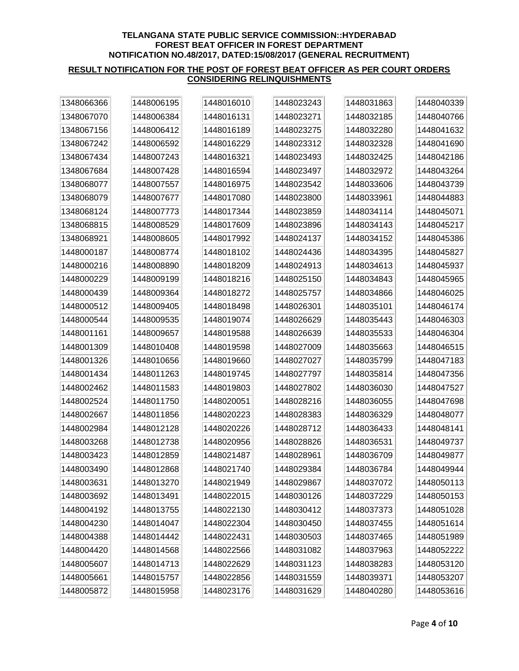| 1348066366 | 1448006195 | 1448016010 | 1448023243 | 1448031863 | 1448040339 |
|------------|------------|------------|------------|------------|------------|
| 1348067070 | 1448006384 | 1448016131 | 1448023271 | 1448032185 | 1448040766 |
| 1348067156 | 1448006412 | 1448016189 | 1448023275 | 1448032280 | 1448041632 |
| 1348067242 | 1448006592 | 1448016229 | 1448023312 | 1448032328 | 1448041690 |
| 1348067434 | 1448007243 | 1448016321 | 1448023493 | 1448032425 | 1448042186 |
| 1348067684 | 1448007428 | 1448016594 | 1448023497 | 1448032972 | 1448043264 |
| 1348068077 | 1448007557 | 1448016975 | 1448023542 | 1448033606 | 1448043739 |
| 1348068079 | 1448007677 | 1448017080 | 1448023800 | 1448033961 | 1448044883 |
| 1348068124 | 1448007773 | 1448017344 | 1448023859 | 1448034114 | 1448045071 |
| 1348068815 | 1448008529 | 1448017609 | 1448023896 | 1448034143 | 1448045217 |
| 1348068921 | 1448008605 | 1448017992 | 1448024137 | 1448034152 | 1448045386 |
| 1448000187 | 1448008774 | 1448018102 | 1448024436 | 1448034395 | 1448045827 |
| 1448000216 | 1448008890 | 1448018209 | 1448024913 | 1448034613 | 1448045937 |
| 1448000229 | 1448009199 | 1448018216 | 1448025150 | 1448034843 | 1448045965 |
| 1448000439 | 1448009364 | 1448018272 | 1448025757 | 1448034866 | 1448046025 |
| 1448000512 | 1448009405 | 1448018498 | 1448026301 | 1448035101 | 1448046174 |
| 1448000544 | 1448009535 | 1448019074 | 1448026629 | 1448035443 | 1448046303 |
| 1448001161 | 1448009657 | 1448019588 | 1448026639 | 1448035533 | 1448046304 |
| 1448001309 | 1448010408 | 1448019598 | 1448027009 | 1448035663 | 1448046515 |
| 1448001326 | 1448010656 | 1448019660 | 1448027027 | 1448035799 | 1448047183 |
| 1448001434 | 1448011263 | 1448019745 | 1448027797 | 1448035814 | 1448047356 |
| 1448002462 | 1448011583 | 1448019803 | 1448027802 | 1448036030 | 1448047527 |
| 1448002524 | 1448011750 | 1448020051 | 1448028216 | 1448036055 | 1448047698 |
| 1448002667 | 1448011856 | 1448020223 | 1448028383 | 1448036329 | 1448048077 |
| 1448002984 | 1448012128 | 1448020226 | 1448028712 | 1448036433 | 1448048141 |
| 1448003268 | 1448012738 | 1448020956 | 1448028826 | 1448036531 | 1448049737 |
| 1448003423 | 1448012859 | 1448021487 | 1448028961 | 1448036709 | 1448049877 |
| 1448003490 | 1448012868 | 1448021740 | 1448029384 | 1448036784 | 1448049944 |
| 1448003631 | 1448013270 | 1448021949 | 1448029867 | 1448037072 | 1448050113 |
| 1448003692 | 1448013491 | 1448022015 | 1448030126 | 1448037229 | 1448050153 |
| 1448004192 | 1448013755 | 1448022130 | 1448030412 | 1448037373 | 1448051028 |
| 1448004230 | 1448014047 | 1448022304 | 1448030450 | 1448037455 | 1448051614 |
| 1448004388 | 1448014442 | 1448022431 | 1448030503 | 1448037465 | 1448051989 |
| 1448004420 | 1448014568 | 1448022566 | 1448031082 | 1448037963 | 1448052222 |
| 1448005607 | 1448014713 | 1448022629 | 1448031123 | 1448038283 | 1448053120 |
| 1448005661 | 1448015757 | 1448022856 | 1448031559 | 1448039371 | 1448053207 |
| 1448005872 | 1448015958 | 1448023176 | 1448031629 | 1448040280 | 1448053616 |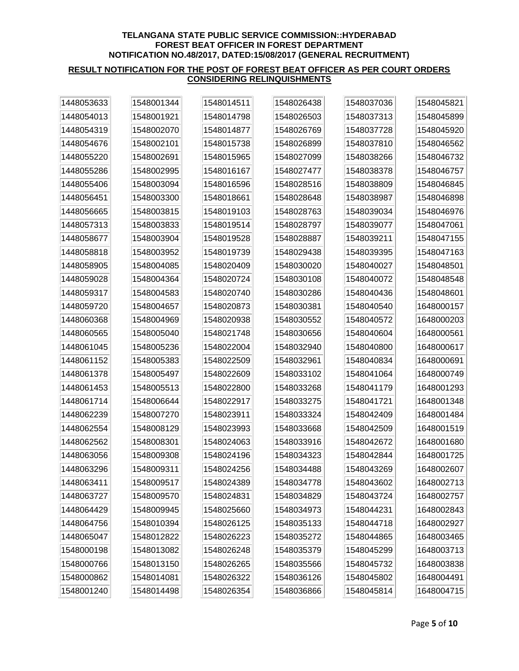| 1448053633 | 1548001344 | 1548014511 | 1548026438 | 1548037036 | 1548045821 |
|------------|------------|------------|------------|------------|------------|
| 1448054013 | 1548001921 | 1548014798 | 1548026503 | 1548037313 | 1548045899 |
| 1448054319 | 1548002070 | 1548014877 | 1548026769 | 1548037728 | 1548045920 |
| 1448054676 | 1548002101 | 1548015738 | 1548026899 | 1548037810 | 1548046562 |
| 1448055220 | 1548002691 | 1548015965 | 1548027099 | 1548038266 | 1548046732 |
| 1448055286 | 1548002995 | 1548016167 | 1548027477 | 1548038378 | 1548046757 |
| 1448055406 | 1548003094 | 1548016596 | 1548028516 | 1548038809 | 1548046845 |
| 1448056451 | 1548003300 | 1548018661 | 1548028648 | 1548038987 | 1548046898 |
| 1448056665 | 1548003815 | 1548019103 | 1548028763 | 1548039034 | 1548046976 |
| 1448057313 | 1548003833 | 1548019514 | 1548028797 | 1548039077 | 1548047061 |
| 1448058677 | 1548003904 | 1548019528 | 1548028887 | 1548039211 | 1548047155 |
| 1448058818 | 1548003952 | 1548019739 | 1548029438 | 1548039395 | 1548047163 |
| 1448058905 | 1548004085 | 1548020409 | 1548030020 | 1548040027 | 1548048501 |
| 1448059028 | 1548004364 | 1548020724 | 1548030108 | 1548040072 | 1548048548 |
| 1448059317 | 1548004583 | 1548020740 | 1548030286 | 1548040436 | 1548048601 |
| 1448059720 | 1548004657 | 1548020873 | 1548030381 | 1548040540 | 1648000157 |
| 1448060368 | 1548004969 | 1548020938 | 1548030552 | 1548040572 | 1648000203 |
| 1448060565 | 1548005040 | 1548021748 | 1548030656 | 1548040604 | 1648000561 |
| 1448061045 | 1548005236 | 1548022004 | 1548032940 | 1548040800 | 1648000617 |
| 1448061152 | 1548005383 | 1548022509 | 1548032961 | 1548040834 | 1648000691 |
| 1448061378 | 1548005497 | 1548022609 | 1548033102 | 1548041064 | 1648000749 |
| 1448061453 | 1548005513 | 1548022800 | 1548033268 | 1548041179 | 1648001293 |
| 1448061714 | 1548006644 | 1548022917 | 1548033275 | 1548041721 | 1648001348 |
| 1448062239 | 1548007270 | 1548023911 | 1548033324 | 1548042409 | 1648001484 |
| 1448062554 | 1548008129 | 1548023993 | 1548033668 | 1548042509 | 1648001519 |
| 1448062562 | 1548008301 | 1548024063 | 1548033916 | 1548042672 | 1648001680 |
| 1448063056 | 1548009308 | 1548024196 | 1548034323 | 1548042844 | 1648001725 |
| 1448063296 | 1548009311 | 1548024256 | 1548034488 | 1548043269 | 1648002607 |
| 1448063411 | 1548009517 | 1548024389 | 1548034778 | 1548043602 | 1648002713 |
| 1448063727 | 1548009570 | 1548024831 | 1548034829 | 1548043724 | 1648002757 |
| 1448064429 | 1548009945 | 1548025660 | 1548034973 | 1548044231 | 1648002843 |
| 1448064756 | 1548010394 | 1548026125 | 1548035133 | 1548044718 | 1648002927 |
| 1448065047 | 1548012822 | 1548026223 | 1548035272 | 1548044865 | 1648003465 |
| 1548000198 | 1548013082 | 1548026248 | 1548035379 | 1548045299 | 1648003713 |
| 1548000766 | 1548013150 | 1548026265 | 1548035566 | 1548045732 | 1648003838 |
| 1548000862 | 1548014081 | 1548026322 | 1548036126 | 1548045802 | 1648004491 |
| 1548001240 | 1548014498 | 1548026354 | 1548036866 | 1548045814 | 1648004715 |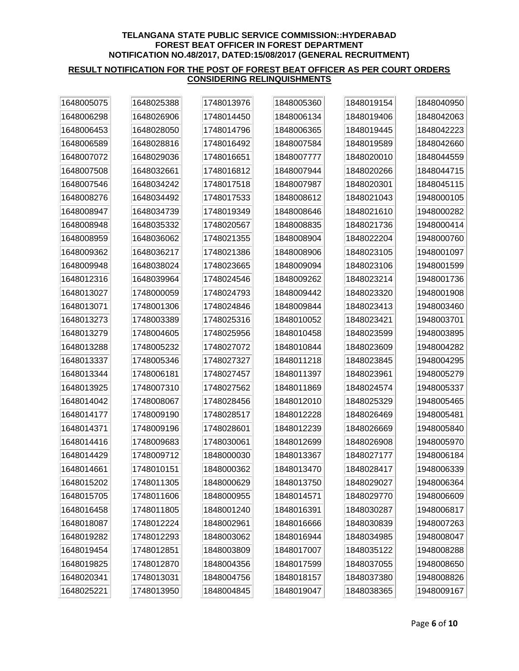| 1648005075 | 1648025388 | 1748013976 | 1848005360 | 1848019154 | 1848040950 |
|------------|------------|------------|------------|------------|------------|
| 1648006298 | 1648026906 | 1748014450 | 1848006134 | 1848019406 | 1848042063 |
| 1648006453 | 1648028050 | 1748014796 | 1848006365 | 1848019445 | 1848042223 |
| 1648006589 | 1648028816 | 1748016492 | 1848007584 | 1848019589 | 1848042660 |
| 1648007072 | 1648029036 | 1748016651 | 1848007777 | 1848020010 | 1848044559 |
| 1648007508 | 1648032661 | 1748016812 | 1848007944 | 1848020266 | 1848044715 |
| 1648007546 | 1648034242 | 1748017518 | 1848007987 | 1848020301 | 1848045115 |
| 1648008276 | 1648034492 | 1748017533 | 1848008612 | 1848021043 | 1948000105 |
| 1648008947 | 1648034739 | 1748019349 | 1848008646 | 1848021610 | 1948000282 |
| 1648008948 | 1648035332 | 1748020567 | 1848008835 | 1848021736 | 1948000414 |
| 1648008959 | 1648036062 | 1748021355 | 1848008904 | 1848022204 | 1948000760 |
| 1648009362 | 1648036217 | 1748021386 | 1848008906 | 1848023105 | 1948001097 |
| 1648009948 | 1648038024 | 1748023665 | 1848009094 | 1848023106 | 1948001599 |
| 1648012316 | 1648039964 | 1748024546 | 1848009262 | 1848023214 | 1948001736 |
| 1648013027 | 1748000059 | 1748024793 | 1848009442 | 1848023320 | 1948001908 |
| 1648013071 | 1748001306 | 1748024846 | 1848009844 | 1848023413 | 1948003460 |
| 1648013273 | 1748003389 | 1748025316 | 1848010052 | 1848023421 | 1948003701 |
| 1648013279 | 1748004605 | 1748025956 | 1848010458 | 1848023599 | 1948003895 |
| 1648013288 | 1748005232 | 1748027072 | 1848010844 | 1848023609 | 1948004282 |
| 1648013337 | 1748005346 | 1748027327 | 1848011218 | 1848023845 | 1948004295 |
| 1648013344 | 1748006181 | 1748027457 | 1848011397 | 1848023961 | 1948005279 |
| 1648013925 | 1748007310 | 1748027562 | 1848011869 | 1848024574 | 1948005337 |
| 1648014042 | 1748008067 | 1748028456 | 1848012010 | 1848025329 | 1948005465 |
| 1648014177 | 1748009190 | 1748028517 | 1848012228 | 1848026469 | 1948005481 |
| 1648014371 | 1748009196 | 1748028601 | 1848012239 | 1848026669 | 1948005840 |
| 1648014416 | 1748009683 | 1748030061 | 1848012699 | 1848026908 | 1948005970 |
| 1648014429 | 1748009712 | 1848000030 | 1848013367 | 1848027177 | 1948006184 |
| 1648014661 | 1748010151 | 1848000362 | 1848013470 | 1848028417 | 1948006339 |
| 1648015202 | 1748011305 | 1848000629 | 1848013750 | 1848029027 | 1948006364 |
| 1648015705 | 1748011606 | 1848000955 | 1848014571 | 1848029770 | 1948006609 |
| 1648016458 | 1748011805 | 1848001240 | 1848016391 | 1848030287 | 1948006817 |
| 1648018087 | 1748012224 | 1848002961 | 1848016666 | 1848030839 | 1948007263 |
| 1648019282 | 1748012293 | 1848003062 | 1848016944 | 1848034985 | 1948008047 |
| 1648019454 | 1748012851 | 1848003809 | 1848017007 | 1848035122 | 1948008288 |
| 1648019825 | 1748012870 | 1848004356 | 1848017599 | 1848037055 | 1948008650 |
| 1648020341 | 1748013031 | 1848004756 | 1848018157 | 1848037380 | 1948008826 |
| 1648025221 | 1748013950 | 1848004845 | 1848019047 | 1848038365 | 1948009167 |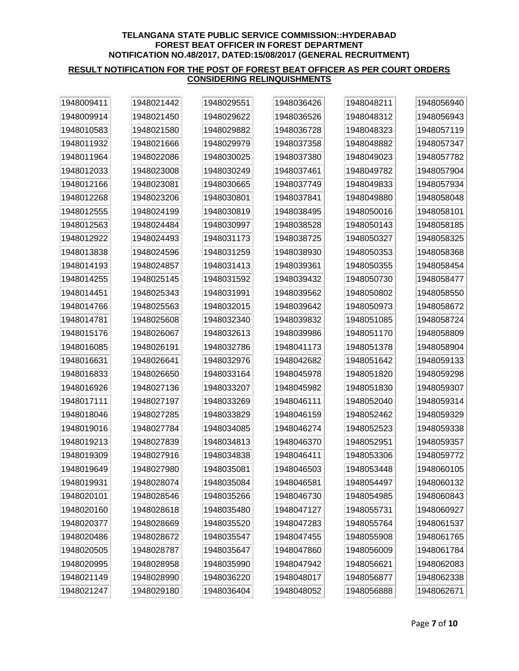| 1948009411 | 1948021442 | 1948029551 | 1948036426 | 1948048211 | 1948056940 |
|------------|------------|------------|------------|------------|------------|
| 1948009914 | 1948021450 | 1948029622 | 1948036526 | 1948048312 | 1948056943 |
| 1948010583 | 1948021580 | 1948029882 | 1948036728 | 1948048323 | 1948057119 |
| 1948011932 | 1948021666 | 1948029979 | 1948037358 | 1948048882 | 1948057347 |
| 1948011964 | 1948022086 | 1948030025 | 1948037380 | 1948049023 | 1948057782 |
| 1948012033 | 1948023008 | 1948030249 | 1948037461 | 1948049782 | 1948057904 |
| 1948012166 | 1948023081 | 1948030665 | 1948037749 | 1948049833 | 1948057934 |
| 1948012268 | 1948023206 | 1948030801 | 1948037841 | 1948049880 | 1948058048 |
| 1948012555 | 1948024199 | 1948030819 | 1948038495 | 1948050016 | 1948058101 |
| 1948012563 | 1948024484 | 1948030997 | 1948038528 | 1948050143 | 1948058185 |
| 1948012922 | 1948024493 | 1948031173 | 1948038725 | 1948050327 | 1948058325 |
| 1948013838 | 1948024596 | 1948031259 | 1948038930 | 1948050353 | 1948058368 |
| 1948014193 | 1948024857 | 1948031413 | 1948039361 | 1948050355 | 1948058454 |
| 1948014255 | 1948025145 | 1948031592 | 1948039432 | 1948050730 | 1948058477 |
| 1948014451 | 1948025343 | 1948031991 | 1948039562 | 1948050802 | 1948058550 |
| 1948014766 | 1948025563 | 1948032015 | 1948039642 | 1948050973 | 1948058672 |
| 1948014781 | 1948025608 | 1948032340 | 1948039832 | 1948051085 | 1948058724 |
| 1948015176 | 1948026067 | 1948032613 | 1948039986 | 1948051170 | 1948058809 |
| 1948016085 | 1948026191 | 1948032786 | 1948041173 | 1948051378 | 1948058904 |
| 1948016631 | 1948026641 | 1948032976 | 1948042682 | 1948051642 | 1948059133 |
| 1948016833 | 1948026650 | 1948033164 | 1948045978 | 1948051820 | 1948059298 |
| 1948016926 | 1948027136 | 1948033207 | 1948045982 | 1948051830 | 1948059307 |
| 1948017111 | 1948027197 | 1948033269 | 1948046111 | 1948052040 | 1948059314 |
| 1948018046 | 1948027285 | 1948033829 | 1948046159 | 1948052462 | 1948059329 |
| 1948019016 | 1948027784 | 1948034085 | 1948046274 | 1948052523 | 1948059338 |
| 1948019213 | 1948027839 | 1948034813 | 1948046370 | 1948052951 | 1948059357 |
| 1948019309 | 1948027916 | 1948034838 | 1948046411 | 1948053306 | 1948059772 |
| 1948019649 | 1948027980 | 1948035081 | 1948046503 | 1948053448 | 1948060105 |
| 1948019931 | 1948028074 | 1948035084 | 1948046581 | 1948054497 | 1948060132 |
| 1948020101 | 1948028546 | 1948035266 | 1948046730 | 1948054985 | 1948060843 |
| 1948020160 | 1948028618 | 1948035480 | 1948047127 | 1948055731 | 1948060927 |
| 1948020377 | 1948028669 | 1948035520 | 1948047283 | 1948055764 | 1948061537 |
| 1948020486 | 1948028672 | 1948035547 | 1948047455 | 1948055908 | 1948061765 |
| 1948020505 | 1948028787 | 1948035647 | 1948047860 | 1948056009 | 1948061784 |
| 1948020995 | 1948028958 | 1948035990 | 1948047942 | 1948056621 | 1948062083 |
| 1948021149 | 1948028990 | 1948036220 | 1948048017 | 1948056877 | 1948062338 |
| 1948021247 | 1948029180 | 1948036404 | 1948048052 | 1948056888 | 1948062671 |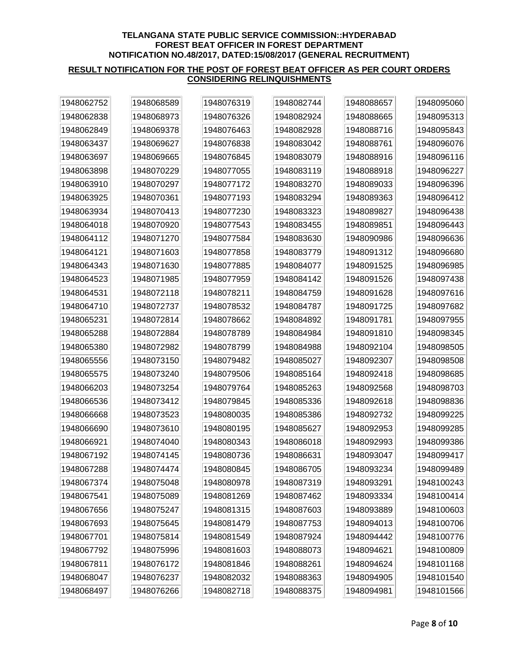| 1948062752 | 1948068589 | 1948076319 | 1948082744 | 1948088657 | 1948095060 |
|------------|------------|------------|------------|------------|------------|
| 1948062838 | 1948068973 | 1948076326 | 1948082924 | 1948088665 | 1948095313 |
| 1948062849 | 1948069378 | 1948076463 | 1948082928 | 1948088716 | 1948095843 |
| 1948063437 | 1948069627 | 1948076838 | 1948083042 | 1948088761 | 1948096076 |
| 1948063697 | 1948069665 | 1948076845 | 1948083079 | 1948088916 | 1948096116 |
| 1948063898 | 1948070229 | 1948077055 | 1948083119 | 1948088918 | 1948096227 |
| 1948063910 | 1948070297 | 1948077172 | 1948083270 | 1948089033 | 1948096396 |
| 1948063925 | 1948070361 | 1948077193 | 1948083294 | 1948089363 | 1948096412 |
| 1948063934 | 1948070413 | 1948077230 | 1948083323 | 1948089827 | 1948096438 |
| 1948064018 | 1948070920 | 1948077543 | 1948083455 | 1948089851 | 1948096443 |
| 1948064112 | 1948071270 | 1948077584 | 1948083630 | 1948090986 | 1948096636 |
| 1948064121 | 1948071603 | 1948077858 | 1948083779 | 1948091312 | 1948096680 |
| 1948064343 | 1948071630 | 1948077885 | 1948084077 | 1948091525 | 1948096985 |
| 1948064523 | 1948071985 | 1948077959 | 1948084142 | 1948091526 | 1948097438 |
| 1948064531 | 1948072118 | 1948078211 | 1948084759 | 1948091628 | 1948097616 |
| 1948064710 | 1948072737 | 1948078532 | 1948084787 | 1948091725 | 1948097682 |
| 1948065231 | 1948072814 | 1948078662 | 1948084892 | 1948091781 | 1948097955 |
| 1948065288 | 1948072884 | 1948078789 | 1948084984 | 1948091810 | 1948098345 |
| 1948065380 | 1948072982 | 1948078799 | 1948084988 | 1948092104 | 1948098505 |
| 1948065556 | 1948073150 | 1948079482 | 1948085027 | 1948092307 | 1948098508 |
| 1948065575 | 1948073240 | 1948079506 | 1948085164 | 1948092418 | 1948098685 |
| 1948066203 | 1948073254 | 1948079764 | 1948085263 | 1948092568 | 1948098703 |
| 1948066536 | 1948073412 | 1948079845 | 1948085336 | 1948092618 | 1948098836 |
| 1948066668 | 1948073523 | 1948080035 | 1948085386 | 1948092732 | 1948099225 |
| 1948066690 | 1948073610 | 1948080195 | 1948085627 | 1948092953 | 1948099285 |
| 1948066921 | 1948074040 | 1948080343 | 1948086018 | 1948092993 | 1948099386 |
| 1948067192 | 1948074145 | 1948080736 | 1948086631 | 1948093047 | 1948099417 |
| 1948067288 | 1948074474 | 1948080845 | 1948086705 | 1948093234 | 1948099489 |
| 1948067374 | 1948075048 | 1948080978 | 1948087319 | 1948093291 | 1948100243 |
| 1948067541 | 1948075089 | 1948081269 | 1948087462 | 1948093334 | 1948100414 |
| 1948067656 | 1948075247 | 1948081315 | 1948087603 | 1948093889 | 1948100603 |
| 1948067693 | 1948075645 | 1948081479 | 1948087753 | 1948094013 | 1948100706 |
| 1948067701 | 1948075814 | 1948081549 | 1948087924 | 1948094442 | 1948100776 |
| 1948067792 | 1948075996 | 1948081603 | 1948088073 | 1948094621 | 1948100809 |
| 1948067811 | 1948076172 | 1948081846 | 1948088261 | 1948094624 | 1948101168 |
| 1948068047 | 1948076237 | 1948082032 | 1948088363 | 1948094905 | 1948101540 |
| 1948068497 | 1948076266 | 1948082718 | 1948088375 | 1948094981 | 1948101566 |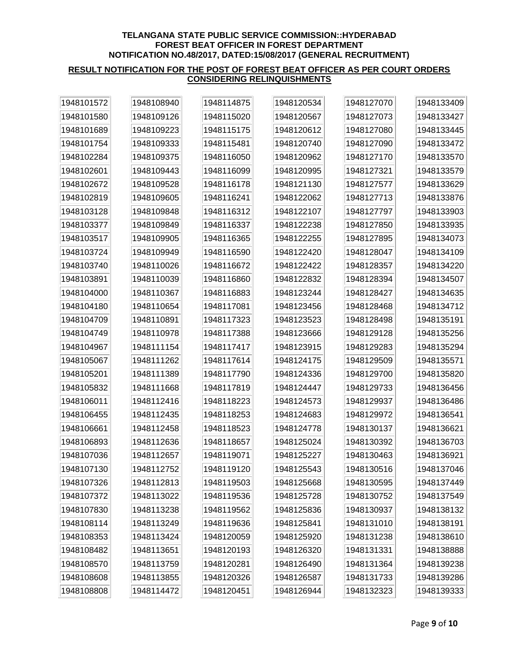| 1948101572 | 1948108940 | 1948114875 | 1948120534 | 1948127070 | 1948133409 |
|------------|------------|------------|------------|------------|------------|
| 1948101580 | 1948109126 | 1948115020 | 1948120567 | 1948127073 | 1948133427 |
| 1948101689 | 1948109223 | 1948115175 | 1948120612 | 1948127080 | 1948133445 |
| 1948101754 | 1948109333 | 1948115481 | 1948120740 | 1948127090 | 1948133472 |
| 1948102284 | 1948109375 | 1948116050 | 1948120962 | 1948127170 | 1948133570 |
| 1948102601 | 1948109443 | 1948116099 | 1948120995 | 1948127321 | 1948133579 |
| 1948102672 | 1948109528 | 1948116178 | 1948121130 | 1948127577 | 1948133629 |
| 1948102819 | 1948109605 | 1948116241 | 1948122062 | 1948127713 | 1948133876 |
| 1948103128 | 1948109848 | 1948116312 | 1948122107 | 1948127797 | 1948133903 |
| 1948103377 | 1948109849 | 1948116337 | 1948122238 | 1948127850 | 1948133935 |
| 1948103517 | 1948109905 | 1948116365 | 1948122255 | 1948127895 | 1948134073 |
| 1948103724 | 1948109949 | 1948116590 | 1948122420 | 1948128047 | 1948134109 |
| 1948103740 | 1948110026 | 1948116672 | 1948122422 | 1948128357 | 1948134220 |
| 1948103891 | 1948110039 | 1948116860 | 1948122832 | 1948128394 | 1948134507 |
| 1948104000 | 1948110367 | 1948116883 | 1948123244 | 1948128427 | 1948134635 |
| 1948104180 | 1948110654 | 1948117081 | 1948123456 | 1948128468 | 1948134712 |
| 1948104709 | 1948110891 | 1948117323 | 1948123523 | 1948128498 | 1948135191 |
| 1948104749 | 1948110978 | 1948117388 | 1948123666 | 1948129128 | 1948135256 |
| 1948104967 | 1948111154 | 1948117417 | 1948123915 | 1948129283 | 1948135294 |
| 1948105067 | 1948111262 | 1948117614 | 1948124175 | 1948129509 | 1948135571 |
| 1948105201 | 1948111389 | 1948117790 | 1948124336 | 1948129700 | 1948135820 |
| 1948105832 | 1948111668 | 1948117819 | 1948124447 | 1948129733 | 1948136456 |
| 1948106011 | 1948112416 | 1948118223 | 1948124573 | 1948129937 | 1948136486 |
| 1948106455 | 1948112435 | 1948118253 | 1948124683 | 1948129972 | 1948136541 |
| 1948106661 | 1948112458 | 1948118523 | 1948124778 | 1948130137 | 1948136621 |
| 1948106893 | 1948112636 | 1948118657 | 1948125024 | 1948130392 | 1948136703 |
| 1948107036 | 1948112657 | 1948119071 | 1948125227 | 1948130463 | 1948136921 |
| 1948107130 | 1948112752 | 1948119120 | 1948125543 | 1948130516 | 1948137046 |
| 1948107326 | 1948112813 | 1948119503 | 1948125668 | 1948130595 | 1948137449 |
| 1948107372 | 1948113022 | 1948119536 | 1948125728 | 1948130752 | 1948137549 |
| 1948107830 | 1948113238 | 1948119562 | 1948125836 | 1948130937 | 1948138132 |
| 1948108114 | 1948113249 | 1948119636 | 1948125841 | 1948131010 | 1948138191 |
| 1948108353 | 1948113424 | 1948120059 | 1948125920 | 1948131238 | 1948138610 |
| 1948108482 | 1948113651 | 1948120193 | 1948126320 | 1948131331 | 1948138888 |
| 1948108570 | 1948113759 | 1948120281 | 1948126490 | 1948131364 | 1948139238 |
| 1948108608 | 1948113855 | 1948120326 | 1948126587 | 1948131733 | 1948139286 |
| 1948108808 | 1948114472 | 1948120451 | 1948126944 | 1948132323 | 1948139333 |